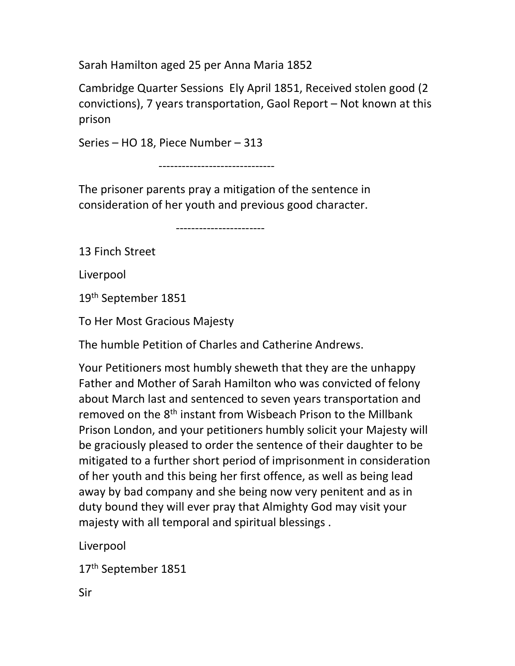Sarah Hamilton aged 25 per Anna Maria 1852

Cambridge Quarter Sessions Ely April 1851, Received stolen good (2 convictions), 7 years transportation, Gaol Report – Not known at this prison

Series – HO 18, Piece Number – 313

------------------------------

The prisoner parents pray a mitigation of the sentence in consideration of her youth and previous good character.

-----------------------

13 Finch Street

Liverpool

19th September 1851

To Her Most Gracious Majesty

The humble Petition of Charles and Catherine Andrews.

Your Petitioners most humbly sheweth that they are the unhappy Father and Mother of Sarah Hamilton who was convicted of felony about March last and sentenced to seven years transportation and removed on the 8<sup>th</sup> instant from Wisbeach Prison to the Millbank Prison London, and your petitioners humbly solicit your Majesty will be graciously pleased to order the sentence of their daughter to be mitigated to a further short period of imprisonment in consideration of her youth and this being her first offence, as well as being lead away by bad company and she being now very penitent and as in duty bound they will ever pray that Almighty God may visit your majesty with all temporal and spiritual blessings .

Liverpool

17<sup>th</sup> September 1851